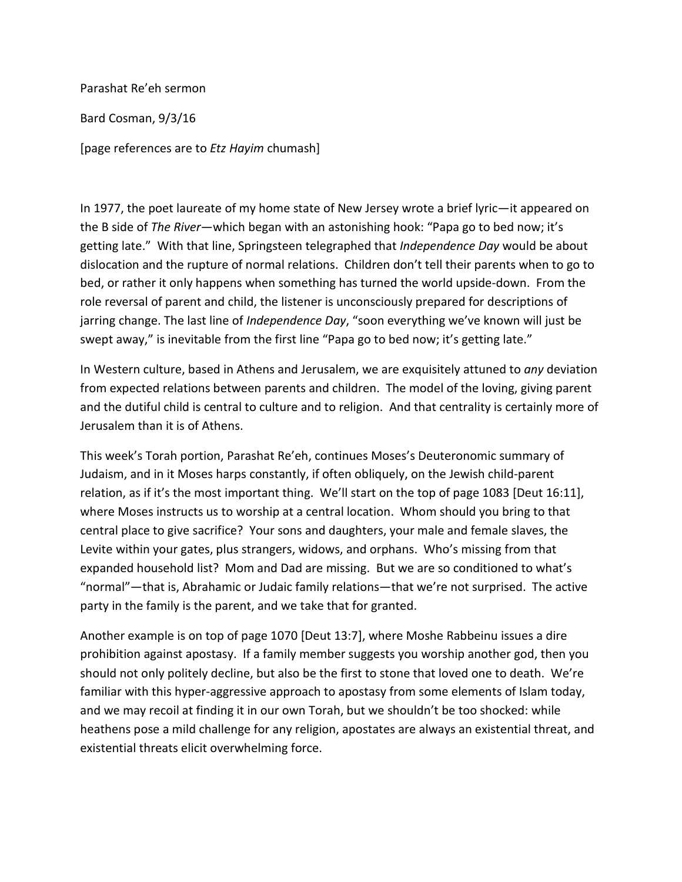Parashat Re'eh sermon

Bard Cosman, 9/3/16

[page references are to *Etz Hayim* chumash]

In 1977, the poet laureate of my home state of New Jersey wrote a brief lyric—it appeared on the B side of *The River*—which began with an astonishing hook: "Papa go to bed now; it's getting late." With that line, Springsteen telegraphed that *Independence Day* would be about dislocation and the rupture of normal relations. Children don't tell their parents when to go to bed, or rather it only happens when something has turned the world upside-down. From the role reversal of parent and child, the listener is unconsciously prepared for descriptions of jarring change. The last line of *Independence Day*, "soon everything we've known will just be swept away," is inevitable from the first line "Papa go to bed now; it's getting late."

In Western culture, based in Athens and Jerusalem, we are exquisitely attuned to *any* deviation from expected relations between parents and children. The model of the loving, giving parent and the dutiful child is central to culture and to religion. And that centrality is certainly more of Jerusalem than it is of Athens.

This week's Torah portion, Parashat Re'eh, continues Moses's Deuteronomic summary of Judaism, and in it Moses harps constantly, if often obliquely, on the Jewish child-parent relation, as if it's the most important thing. We'll start on the top of page 1083 [Deut 16:11], where Moses instructs us to worship at a central location. Whom should you bring to that central place to give sacrifice? Your sons and daughters, your male and female slaves, the Levite within your gates, plus strangers, widows, and orphans. Who's missing from that expanded household list? Mom and Dad are missing. But we are so conditioned to what's "normal"—that is, Abrahamic or Judaic family relations—that we're not surprised. The active party in the family is the parent, and we take that for granted.

Another example is on top of page 1070 [Deut 13:7], where Moshe Rabbeinu issues a dire prohibition against apostasy. If a family member suggests you worship another god, then you should not only politely decline, but also be the first to stone that loved one to death. We're familiar with this hyper-aggressive approach to apostasy from some elements of Islam today, and we may recoil at finding it in our own Torah, but we shouldn't be too shocked: while heathens pose a mild challenge for any religion, apostates are always an existential threat, and existential threats elicit overwhelming force.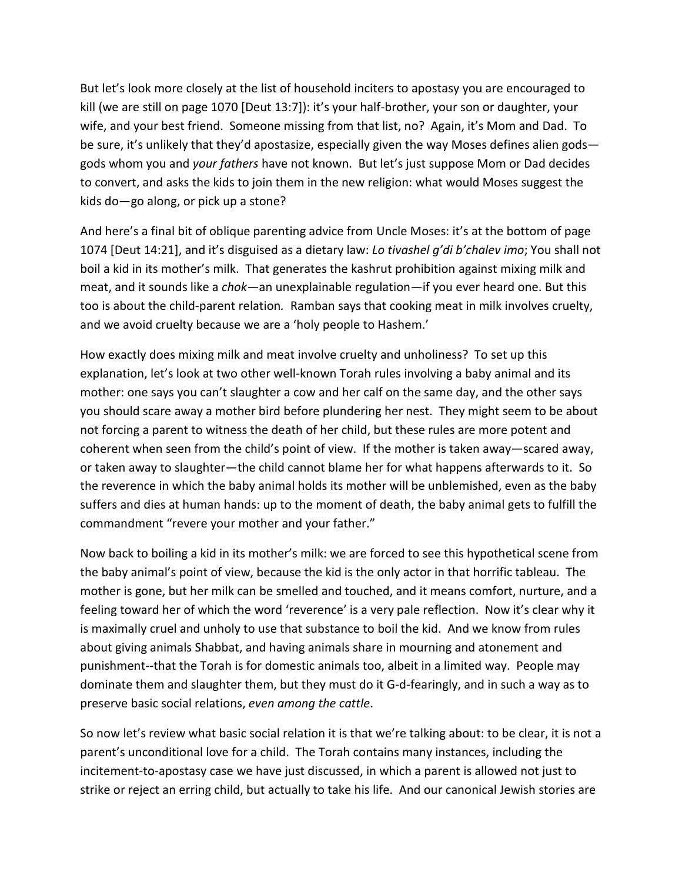But let's look more closely at the list of household inciters to apostasy you are encouraged to kill (we are still on page 1070 [Deut 13:7]): it's your half-brother, your son or daughter, your wife, and your best friend. Someone missing from that list, no? Again, it's Mom and Dad. To be sure, it's unlikely that they'd apostasize, especially given the way Moses defines alien gods gods whom you and *your fathers* have not known. But let's just suppose Mom or Dad decides to convert, and asks the kids to join them in the new religion: what would Moses suggest the kids do—go along, or pick up a stone?

And here's a final bit of oblique parenting advice from Uncle Moses: it's at the bottom of page 1074 [Deut 14:21], and it's disguised as a dietary law: *Lo tivashel g'di b'chalev imo*; You shall not boil a kid in its mother's milk.That generates the kashrut prohibition against mixing milk and meat, and it sounds like a *chok—*an unexplainable regulation*—*if you ever heard one. But this too is about the child-parent relation*.* Ramban says that cooking meat in milk involves cruelty, and we avoid cruelty because we are a 'holy people to Hashem.'

How exactly does mixing milk and meat involve cruelty and unholiness? To set up this explanation, let's look at two other well-known Torah rules involving a baby animal and its mother: one says you can't slaughter a cow and her calf on the same day, and the other says you should scare away a mother bird before plundering her nest. They might seem to be about not forcing a parent to witness the death of her child, but these rules are more potent and coherent when seen from the child's point of view. If the mother is taken away—scared away, or taken away to slaughter—the child cannot blame her for what happens afterwards to it. So the reverence in which the baby animal holds its mother will be unblemished, even as the baby suffers and dies at human hands: up to the moment of death, the baby animal gets to fulfill the commandment "revere your mother and your father."

Now back to boiling a kid in its mother's milk: we are forced to see this hypothetical scene from the baby animal's point of view, because the kid is the only actor in that horrific tableau. The mother is gone, but her milk can be smelled and touched, and it means comfort, nurture, and a feeling toward her of which the word 'reverence' is a very pale reflection. Now it's clear why it is maximally cruel and unholy to use that substance to boil the kid. And we know from rules about giving animals Shabbat, and having animals share in mourning and atonement and punishment--that the Torah is for domestic animals too, albeit in a limited way. People may dominate them and slaughter them, but they must do it G-d-fearingly, and in such a way as to preserve basic social relations, *even among the cattle*.

So now let's review what basic social relation it is that we're talking about: to be clear, it is not a parent's unconditional love for a child. The Torah contains many instances, including the incitement-to-apostasy case we have just discussed, in which a parent is allowed not just to strike or reject an erring child, but actually to take his life. And our canonical Jewish stories are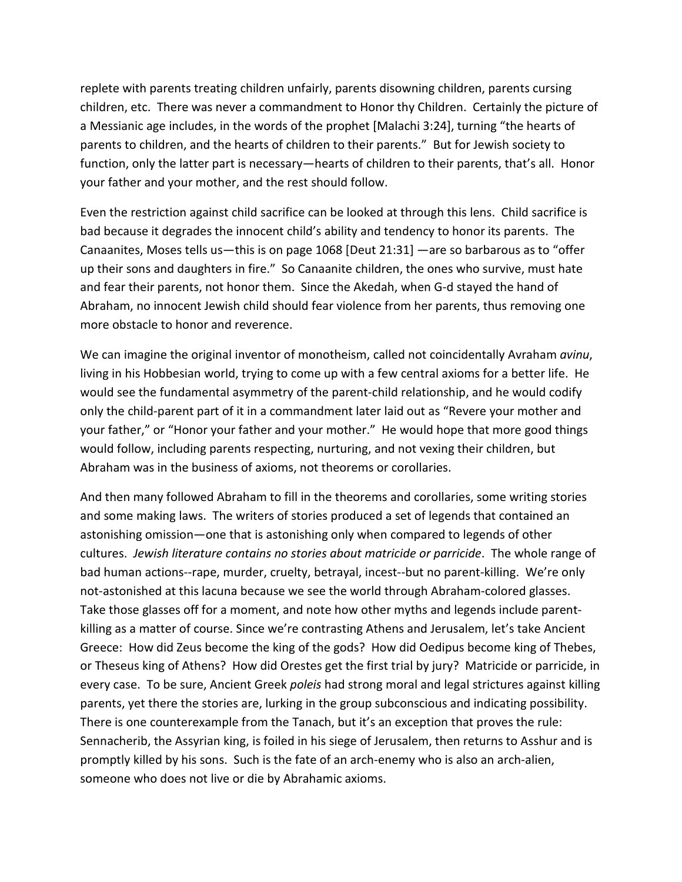replete with parents treating children unfairly, parents disowning children, parents cursing children, etc. There was never a commandment to Honor thy Children. Certainly the picture of a Messianic age includes, in the words of the prophet [Malachi 3:24], turning "the hearts of parents to children, and the hearts of children to their parents." But for Jewish society to function, only the latter part is necessary—hearts of children to their parents, that's all. Honor your father and your mother, and the rest should follow.

Even the restriction against child sacrifice can be looked at through this lens. Child sacrifice is bad because it degrades the innocent child's ability and tendency to honor its parents. The Canaanites, Moses tells us—this is on page 1068 [Deut 21:31] —are so barbarous as to "offer up their sons and daughters in fire." So Canaanite children, the ones who survive, must hate and fear their parents, not honor them. Since the Akedah, when G-d stayed the hand of Abraham, no innocent Jewish child should fear violence from her parents, thus removing one more obstacle to honor and reverence.

We can imagine the original inventor of monotheism, called not coincidentally Avraham *avinu*, living in his Hobbesian world, trying to come up with a few central axioms for a better life. He would see the fundamental asymmetry of the parent-child relationship, and he would codify only the child-parent part of it in a commandment later laid out as "Revere your mother and your father," or "Honor your father and your mother." He would hope that more good things would follow, including parents respecting, nurturing, and not vexing their children, but Abraham was in the business of axioms, not theorems or corollaries.

And then many followed Abraham to fill in the theorems and corollaries, some writing stories and some making laws. The writers of stories produced a set of legends that contained an astonishing omission—one that is astonishing only when compared to legends of other cultures. *Jewish literature contains no stories about matricide or parricide*. The whole range of bad human actions--rape, murder, cruelty, betrayal, incest--but no parent-killing. We're only not-astonished at this lacuna because we see the world through Abraham-colored glasses. Take those glasses off for a moment, and note how other myths and legends include parentkilling as a matter of course. Since we're contrasting Athens and Jerusalem, let's take Ancient Greece: How did Zeus become the king of the gods? How did Oedipus become king of Thebes, or Theseus king of Athens? How did Orestes get the first trial by jury? Matricide or parricide, in every case. To be sure, Ancient Greek *poleis* had strong moral and legal strictures against killing parents, yet there the stories are, lurking in the group subconscious and indicating possibility. There is one counterexample from the Tanach, but it's an exception that proves the rule: Sennacherib, the Assyrian king, is foiled in his siege of Jerusalem, then returns to Asshur and is promptly killed by his sons. Such is the fate of an arch-enemy who is also an arch-alien, someone who does not live or die by Abrahamic axioms.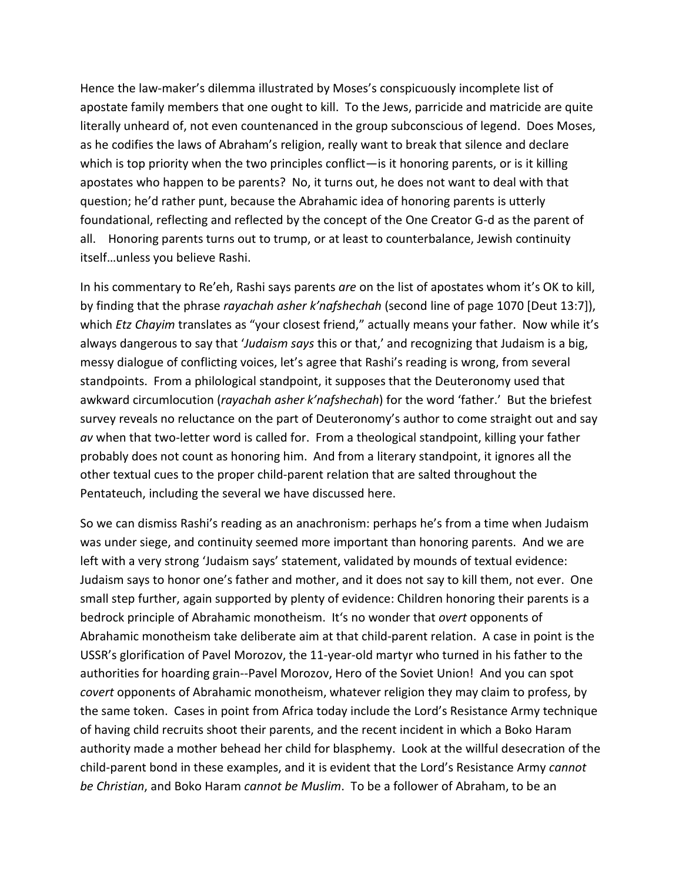Hence the law-maker's dilemma illustrated by Moses's conspicuously incomplete list of apostate family members that one ought to kill. To the Jews, parricide and matricide are quite literally unheard of, not even countenanced in the group subconscious of legend. Does Moses, as he codifies the laws of Abraham's religion, really want to break that silence and declare which is top priority when the two principles conflict—is it honoring parents, or is it killing apostates who happen to be parents? No, it turns out, he does not want to deal with that question; he'd rather punt, because the Abrahamic idea of honoring parents is utterly foundational, reflecting and reflected by the concept of the One Creator G-d as the parent of all. Honoring parents turns out to trump, or at least to counterbalance, Jewish continuity itself…unless you believe Rashi.

In his commentary to Re'eh, Rashi says parents *are* on the list of apostates whom it's OK to kill, by finding that the phrase *rayachah asher k'nafshechah* (second line of page 1070 [Deut 13:7]), which *Etz Chayim* translates as "your closest friend," actually means your father. Now while it's always dangerous to say that '*Judaism says* this or that,' and recognizing that Judaism is a big, messy dialogue of conflicting voices, let's agree that Rashi's reading is wrong, from several standpoints. From a philological standpoint, it supposes that the Deuteronomy used that awkward circumlocution (*rayachah asher k'nafshechah*) for the word 'father.' But the briefest survey reveals no reluctance on the part of Deuteronomy's author to come straight out and say *av* when that two-letter word is called for. From a theological standpoint, killing your father probably does not count as honoring him. And from a literary standpoint, it ignores all the other textual cues to the proper child-parent relation that are salted throughout the Pentateuch, including the several we have discussed here.

So we can dismiss Rashi's reading as an anachronism: perhaps he's from a time when Judaism was under siege, and continuity seemed more important than honoring parents. And we are left with a very strong 'Judaism says' statement, validated by mounds of textual evidence: Judaism says to honor one's father and mother, and it does not say to kill them, not ever. One small step further, again supported by plenty of evidence: Children honoring their parents is a bedrock principle of Abrahamic monotheism. It's no wonder that *overt* opponents of Abrahamic monotheism take deliberate aim at that child-parent relation. A case in point is the USSR's glorification of Pavel Morozov, the 11-year-old martyr who turned in his father to the authorities for hoarding grain--Pavel Morozov, Hero of the Soviet Union! And you can spot *covert* opponents of Abrahamic monotheism, whatever religion they may claim to profess, by the same token. Cases in point from Africa today include the Lord's Resistance Army technique of having child recruits shoot their parents, and the recent incident in which a Boko Haram authority made a mother behead her child for blasphemy. Look at the willful desecration of the child-parent bond in these examples, and it is evident that the Lord's Resistance Army *cannot be Christian*, and Boko Haram *cannot be Muslim*. To be a follower of Abraham, to be an